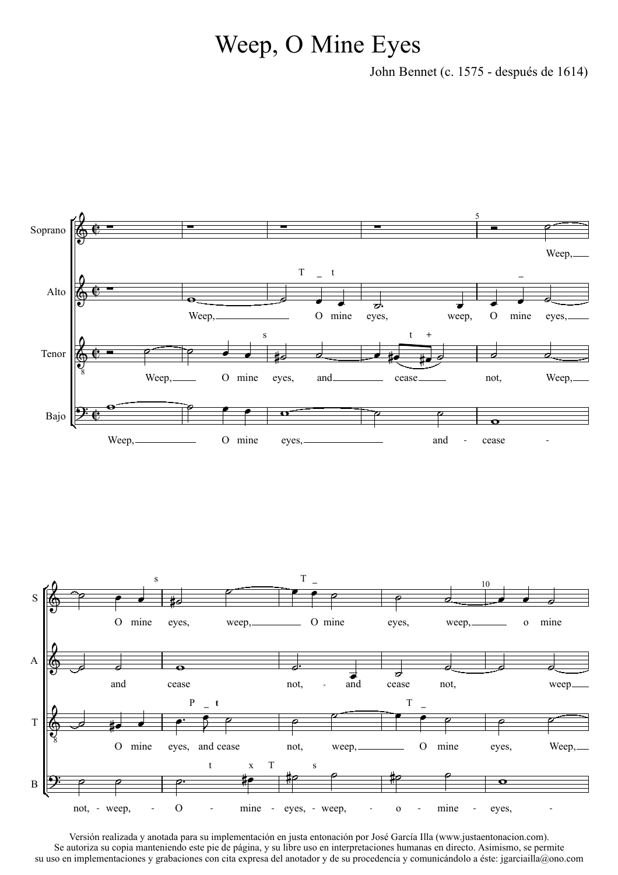## Weep, O Mine Eyes

John Bennet (c. 1575 - después de 1614)



Versión realizada y anotada para su implementación en justa entonación por José García Illa (www.justaentonacion.com). Se autoriza su copia manteniendo este pie de página, y su libre uso en interpretaciones humanas en directo. Asimismo, se permite su uso en implementaciones y grabaciones con cita expresa del anotador y de su procedencia y comunicándolo a éste: jgarciailla@ono.com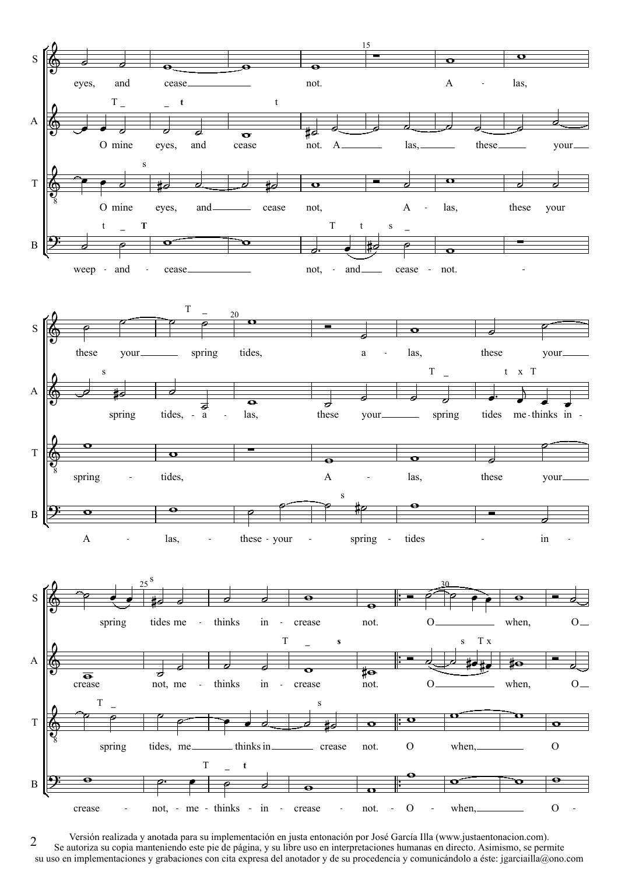

Versión realizada y anotada para su implementación en justa entonación por José García Illa (www.justaentonacion.com). Se autoriza su copia manteniendo este pie de página, y su libre uso en interpretaciones humanas en directo. Asimismo, se permite su uso en implementaciones y grabaciones con cita expresa del anotador y de su procedencia y comunicándolo a éste: jgarciailla@ono.com 2